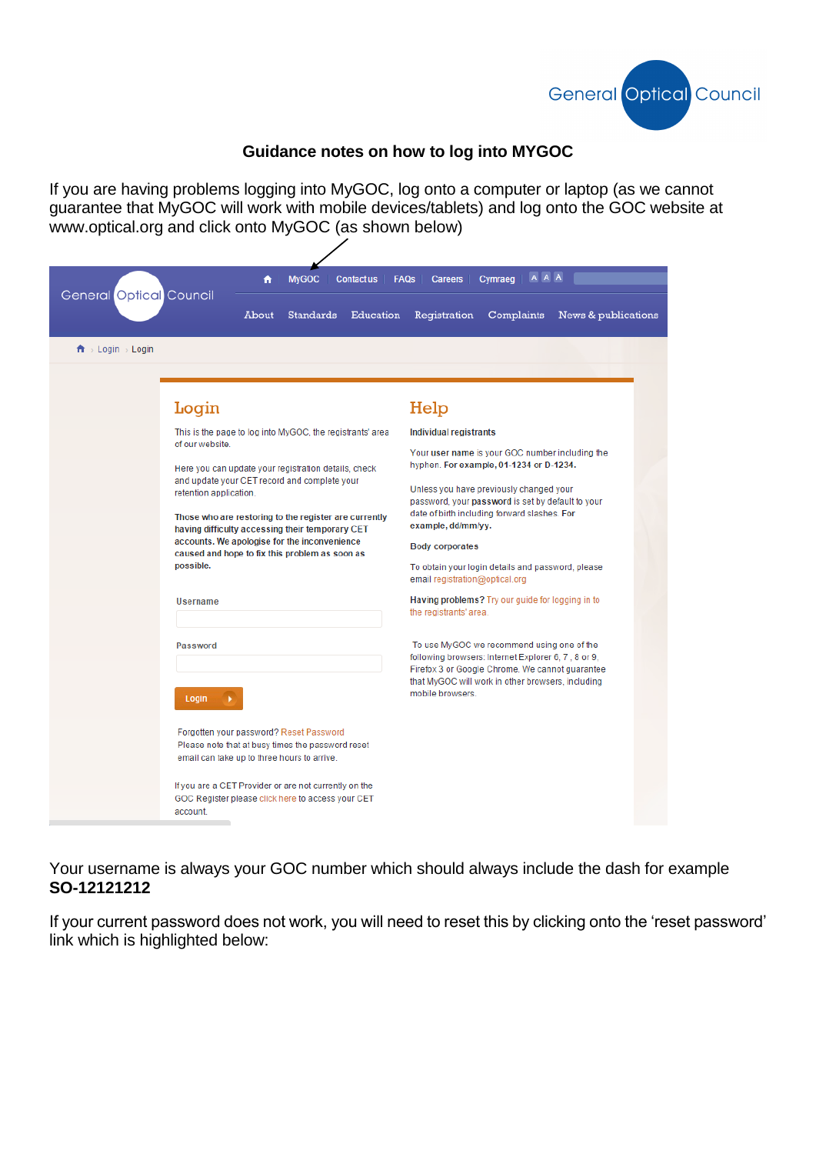

## **Guidance notes on how to log into MYGOC**

If you are having problems logging into MyGOC, log onto a computer or laptop (as we cannot guarantee that MyGOC will work with mobile devices/tablets) and log onto the GOC website at www.optical.org and click onto MyGOC (as shown below)

| General Optical Council<br>$\mathbf{\hat{n}}$ > Login > Login      | <b>MyGOC</b><br>A<br><b>Contact us</b><br>About<br><b>Standards</b><br>Education                                                                                                                                                                                                                                   | AAA<br><b>FAQs</b><br><b>Careers</b><br>Cymraeg<br>Registration<br>Complaints<br>News & publications                                                                                                                                                                                                                                                                                                                                                            |
|--------------------------------------------------------------------|--------------------------------------------------------------------------------------------------------------------------------------------------------------------------------------------------------------------------------------------------------------------------------------------------------------------|-----------------------------------------------------------------------------------------------------------------------------------------------------------------------------------------------------------------------------------------------------------------------------------------------------------------------------------------------------------------------------------------------------------------------------------------------------------------|
| Login                                                              | This is the page to log into MyGOC, the registrants' area                                                                                                                                                                                                                                                          | Help<br>Individual registrants                                                                                                                                                                                                                                                                                                                                                                                                                                  |
| of our website.<br>retention application.<br>possible.<br>Username | Here you can update your registration details, check<br>and update your CET record and complete your<br>Those who are restoring to the register are currently<br>having difficulty accessing their temporary CET<br>accounts. We apologise for the inconvenience<br>caused and hope to fix this problem as soon as | Your user name is your GOC number including the<br>hyphen. For example, 01-1234 or D-1234.<br>Unless you have previously changed your<br>password, your password is set by default to your<br>date of birth including forward slashes. For<br>example, dd/mm/yy.<br><b>Body corporates</b><br>To obtain your login details and password, please<br>email registration@optical.org<br>Having problems? Try our guide for logging in to<br>the registrants' area. |
| Password<br>Login                                                  | Forgotten your password? Reset Password<br>Please note that at busy times the password reset<br>email can take up to three hours to arrive.                                                                                                                                                                        | To use MyGOC we recommend using one of the<br>following browsers: Internet Explorer 6, 7, 8 or 9,<br>Firefox 3 or Google Chrome. We cannot guarantee<br>that MyGOC will work in other browsers, including<br>mobile browsers.                                                                                                                                                                                                                                   |
| account.                                                           | If you are a CET Provider or are not currently on the<br>GOC Register please click here to access your CET                                                                                                                                                                                                         |                                                                                                                                                                                                                                                                                                                                                                                                                                                                 |

Your username is always your GOC number which should always include the dash for example **SO-12121212**

If your current password does not work, you will need to reset this by clicking onto the 'reset password' link which is highlighted below: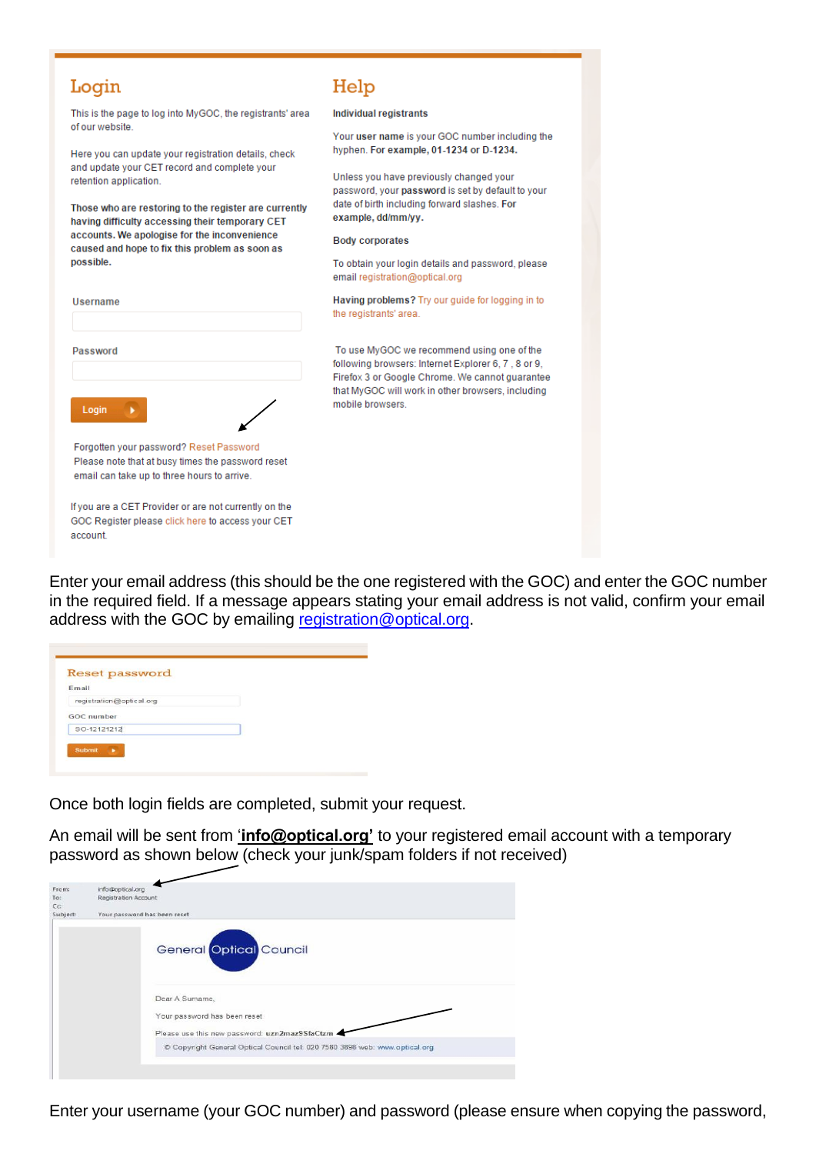| Login                                                                                                                                       | Help                                                                                                 |  |
|---------------------------------------------------------------------------------------------------------------------------------------------|------------------------------------------------------------------------------------------------------|--|
| This is the page to log into MyGOC, the registrants' area                                                                                   | Individual registrants                                                                               |  |
| of our website<br>Here you can update your registration details, check                                                                      | Your user name is your GOC number including the<br>hyphen. For example, 01-1234 or D-1234.           |  |
| and update your CET record and complete your<br>retention application.                                                                      | Unless you have previously changed your<br>password, your password is set by default to your         |  |
| Those who are restoring to the register are currently<br>having difficulty accessing their temporary CET                                    | date of birth including forward slashes. For<br>example, dd/mm/yy.                                   |  |
| accounts. We apologise for the inconvenience<br>caused and hope to fix this problem as soon as                                              | <b>Body corporates</b>                                                                               |  |
| possible.                                                                                                                                   | To obtain your login details and password, please<br>email registration@optical.org                  |  |
| Username                                                                                                                                    | Having problems? Try our guide for logging in to<br>the registrants' area.                           |  |
| Password                                                                                                                                    | To use MyGOC we recommend using one of the<br>following browsers: Internet Explorer 6, 7, 8 or 9,    |  |
|                                                                                                                                             | Firefox 3 or Google Chrome. We cannot guarantee<br>that MyGOC will work in other browsers, including |  |
| Login                                                                                                                                       | mobile browsers                                                                                      |  |
| Forgotten your password? Reset Password<br>Please note that at busy times the password reset<br>email can take up to three hours to arrive. |                                                                                                      |  |
|                                                                                                                                             |                                                                                                      |  |
| If you are a CET Provider or are not currently on the<br>GOC Register please click here to access your CET<br>account.                      |                                                                                                      |  |

Enter your email address (this should be the one registered with the GOC) and enter the GOC number in the required field. If a message appears stating your email address is not valid, confirm your email address with the GOC by emailing [registration@optical.org.](mailto:registration@optical.org)

| Email                    |  |
|--------------------------|--|
| registration@optical.org |  |
| GOC number               |  |
| SO-12121212              |  |

Once both login fields are completed, submit your request.

An email will be sent from '**info@optical.org'** to your registered email account with a temporary password as shown below (check your junk/spam folders if not received)

| From:            | info@optical.org             |                                                                             |  |  |  |
|------------------|------------------------------|-----------------------------------------------------------------------------|--|--|--|
| To:              | Registration Account         |                                                                             |  |  |  |
| $C_{\mathbb{C}}$ |                              |                                                                             |  |  |  |
| Subject:         | Your password has been reset |                                                                             |  |  |  |
|                  |                              | <b>General Optical Council</b>                                              |  |  |  |
|                  |                              | Dear A Sumame,                                                              |  |  |  |
|                  |                              | Your password has been reset                                                |  |  |  |
|                  |                              | Please use this new password: uzn2maz9SfaCtzm -                             |  |  |  |
|                  |                              | C Copyright General Optical Council tel: 020 7580 3898 web: www.optical.org |  |  |  |
|                  |                              |                                                                             |  |  |  |

Enter your username (your GOC number) and password (please ensure when copying the password,